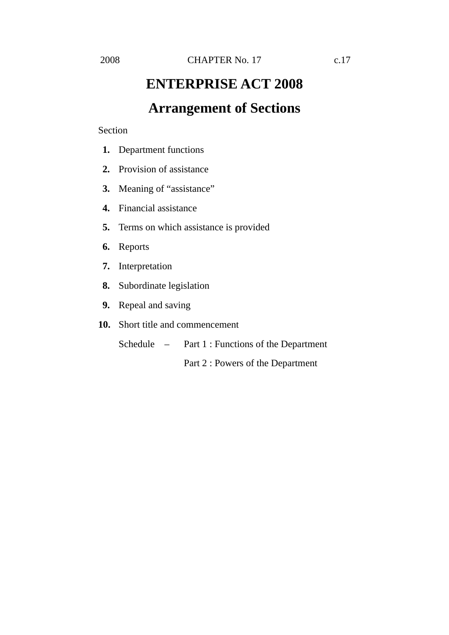# **ENTERPRISE ACT 2008 Arrangement of Sections**

Section

- **1.** Department functions
- **2.** Provision of assistance
- **3.** Meaning of "assistance"
- **4.** Financial assistance
- **5.** Terms on which assistance is provided
- **6.** Reports
- **7.** Interpretation
- **8.** Subordinate legislation
- **9.** Repeal and saving
- **10.** Short title and commencement
	- Schedule Part 1 : Functions of the Department

Part 2 : Powers of the Department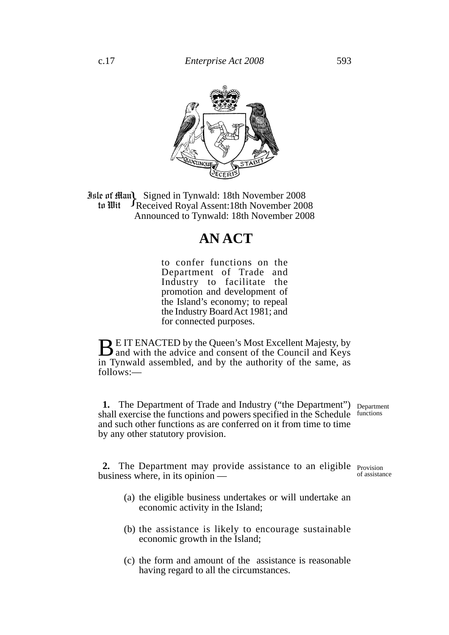

**Jule of Hum Signed in Tynwald: 18th November 2008**<br>**18th November 2008 In Hit** Seceived Royal Assent: 18th November 2008 tu Wit JReceived Royal Assent:18th November 2008 Announced to Tynwald: 18th November 2008

## **AN ACT**

to confer functions on the Department of Trade and Industry to facilitate the promotion and development of the Island's economy; to repeal the Industry Board Act 1981; and for connected purposes.

**BE IT ENACTED by the Queen's Most Excellent Majesty, by** and with the advice and consent of the Council and Keys in Tynwald assembled, and by the authority of the same, as follows:—

**1.** The Department of Trade and Industry ("the Department") Department shall exercise the functions and powers specified in the Schedule functions and such other functions as are conferred on it from time to time by any other statutory provision.

2. The Department may provide assistance to an eligible Provision business where, in its opinion of assistance

- (a) the eligible business undertakes or will undertake an economic activity in the Island;
- (b) the assistance is likely to encourage sustainable economic growth in the Island;
- (c) the form and amount of the assistance is reasonable having regard to all the circumstances.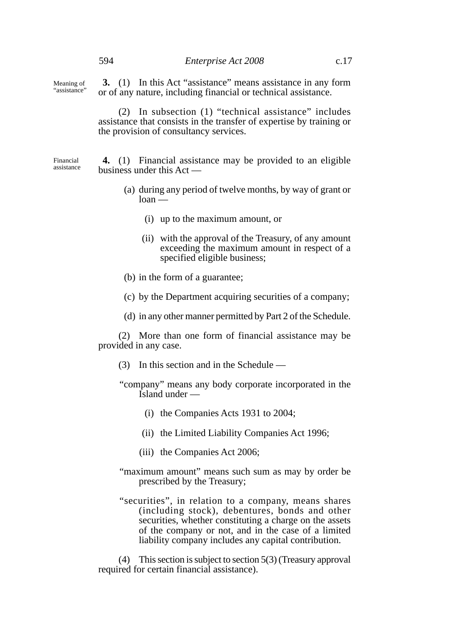Meaning of "assistance"

**3.** (1) In this Act "assistance" means assistance in any form or of any nature, including financial or technical assistance.

(2) In subsection (1) "technical assistance" includes assistance that consists in the transfer of expertise by training or the provision of consultancy services.

Financial assistance

**4.** (1) Financial assistance may be provided to an eligible business under this Act —

- (a) during any period of twelve months, by way of grant or  $loan$  —
	- (i) up to the maximum amount, or
	- (ii) with the approval of the Treasury, of any amount exceeding the maximum amount in respect of a specified eligible business;
- (b) in the form of a guarantee;
- (c) by the Department acquiring securities of a company;
- (d) in any other manner permitted by Part 2 of the Schedule.

(2) More than one form of financial assistance may be provided in any case.

- (3) In this section and in the Schedule —
- "company" means any body corporate incorporated in the Island under —
	- (i) the Companies Acts 1931 to 2004;
	- (ii) the Limited Liability Companies Act 1996;
	- (iii) the Companies Act 2006;
- "maximum amount" means such sum as may by order be prescribed by the Treasury;
- "securities", in relation to a company, means shares (including stock), debentures, bonds and other securities, whether constituting a charge on the assets of the company or not, and in the case of a limited liability company includes any capital contribution.

(4) This section is subject to section 5(3) (Treasury approval required for certain financial assistance).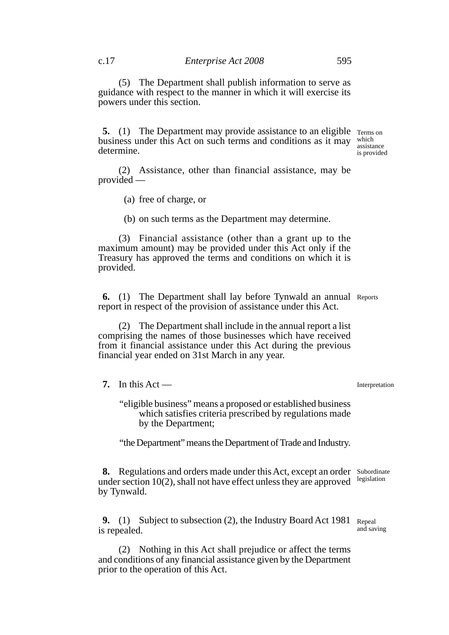(5) The Department shall publish information to serve as guidance with respect to the manner in which it will exercise its powers under this section.

**5.** (1) The Department may provide assistance to an eligible Terms on business under this Act on such terms and conditions as it may determine.

which assistance is provided

(2) Assistance, other than financial assistance, may be provided —

(a) free of charge, or

(b) on such terms as the Department may determine.

(3) Financial assistance (other than a grant up to the maximum amount) may be provided under this Act only if the Treasury has approved the terms and conditions on which it is provided.

**6.** (1) The Department shall lay before Tynwald an annual Reports report in respect of the provision of assistance under this Act.

(2) The Department shall include in the annual report a list comprising the names of those businesses which have received from it financial assistance under this Act during the previous financial year ended on 31st March in any year.

**7.** In this  $Act$  —

Interpretation

"eligible business" means a proposed or established business which satisfies criteria prescribed by regulations made by the Department;

"the Department" means the Department of Trade and Industry.

**8.** Regulations and orders made under this Act, except an order Subordinate under section 10(2), shall not have effect unless they are approved by Tynwald. legislation

**9.** (1) Subject to subsection (2), the Industry Board Act 1981 Repeal is repealed. and saving

(2) Nothing in this Act shall prejudice or affect the terms and conditions of any financial assistance given by the Department prior to the operation of this Act.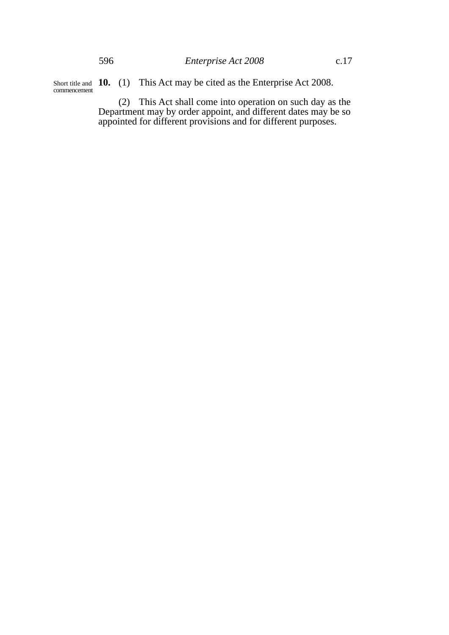Short title and **10.** (1) This Act may be cited as the Enterprise Act 2008. commencement

> (2) This Act shall come into operation on such day as the Department may by order appoint, and different dates may be so appointed for different provisions and for different purposes.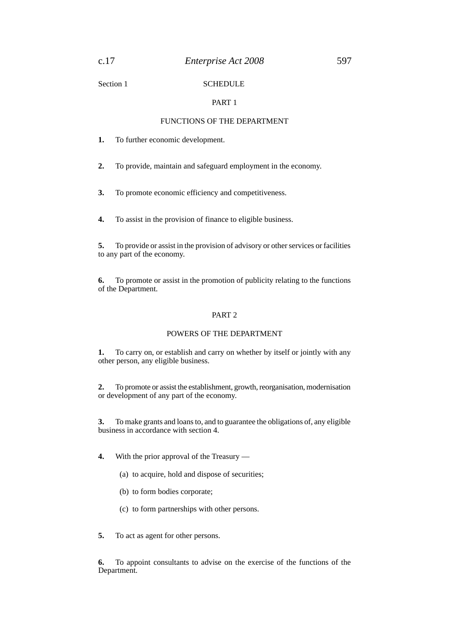Section 1 SCHEDULE

### PART 1

#### FUNCTIONS OF THE DEPARTMENT

**1.** To further economic development.

**2.** To provide, maintain and safeguard employment in the economy.

**3.** To promote economic efficiency and competitiveness.

**4.** To assist in the provision of finance to eligible business.

**5.** To provide or assist in the provision of advisory or other services or facilities to any part of the economy.

**6.** To promote or assist in the promotion of publicity relating to the functions of the Department.

#### PART 2

### POWERS OF THE DEPARTMENT

**1.** To carry on, or establish and carry on whether by itself or jointly with any other person, any eligible business.

**2.** To promote or assist the establishment, growth, reorganisation, modernisation or development of any part of the economy.

**3.** To make grants and loans to, and to guarantee the obligations of, any eligible business in accordance with section 4.

**4.** With the prior approval of the Treasury —

- (a) to acquire, hold and dispose of securities;
- (b) to form bodies corporate;
- (c) to form partnerships with other persons.
- **5.** To act as agent for other persons.

**6.** To appoint consultants to advise on the exercise of the functions of the Department.